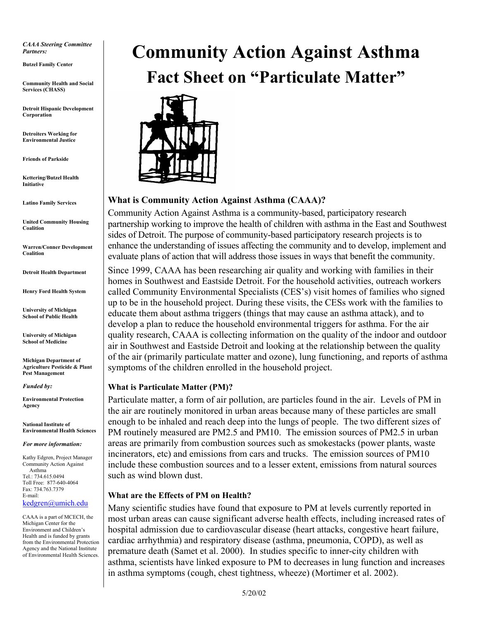*CAAA Steering Committee Partners:* 

**Butzel Family Center** 

**Community Health and Social Services (CHASS)** 

**Detroit Hispanic Development Corporation** 

**Detroiters Working for Environmental Justice** 

**Friends of Parkside** 

 **Kettering/Butzel Health Initiative** 

**Latino Family Services** 

**United Community Housing Coalition** 

**Warren/Conner Development Coalition** 

**Detroit Health Department** 

**Henry Ford Health System** 

**University of Michigan School of Public Health** 

**University of Michigan School of Medicine** 

 **Pest Management Michigan Department of Agriculture Pesticide & Plant** 

*Funded by:* 

**Environmental Protection Agency** 

**National Institute of Environmental Health Sciences** 

#### *For more information:*

Asthma Kathy Edgren, Project Manager Community Action Against Tel.: 734.615.0494 Toll Free: 877-640-4064 Fax: 734.763.7379 E-mail: kedgren@umich.edu

CAAA is a part of MCECH, the Michigan Center for the Environment and Children's Health and is funded by grants from the Environmental Protection Agency and the National Institute of Environmental Health Sciences.

# **Community Action Against Asthma Fact Sheet on "Particulate Matter"**



# **What is Community Action Against Asthma (CAAA)?**

Community Action Against Asthma is a community-based, participatory research partnership working to improve the health of children with asthma in the East and Southwest sides of Detroit. The purpose of community-based participatory research projects is to enhance the understanding of issues affecting the community and to develop, implement and evaluate plans of action that will address those issues in ways that benefit the community.

Since 1999, CAAA has been researching air quality and working with families in their homes in Southwest and Eastside Detroit. For the household activities, outreach workers called Community Environmental Specialists (CES's) visit homes of families who signed up to be in the household project. During these visits, the CESs work with the families to educate them about asthma triggers (things that may cause an asthma attack), and to develop a plan to reduce the household environmental triggers for asthma. For the air quality research, CAAA is collecting information on the quality of the indoor and outdoor air in Southwest and Eastside Detroit and looking at the relationship between the quality of the air (primarily particulate matter and ozone), lung functioning, and reports of asthma symptoms of the children enrolled in the household project.

# **What is Particulate Matter (PM)?**

Particulate matter, a form of air pollution, are particles found in the air. Levels of PM in the air are routinely monitored in urban areas because many of these particles are small enough to be inhaled and reach deep into the lungs of people. The two different sizes of PM routinely measured are PM2.5 and PM10. The emission sources of PM2.5 in urban areas are primarily from combustion sources such as smokestacks (power plants, waste incinerators, etc) and emissions from cars and trucks. The emission sources of PM10 include these combustion sources and to a lesser extent, emissions from natural sources such as wind blown dust.

# **What are the Effects of PM on Health?**

Many scientific studies have found that exposure to PM at levels currently reported in most urban areas can cause significant adverse health effects, including increased rates of hospital admission due to cardiovascular disease (heart attacks, congestive heart failure, cardiac arrhythmia) and respiratory disease (asthma, pneumonia, COPD), as well as premature death (Samet et al. 2000). In studies specific to inner-city children with asthma, scientists have linked exposure to PM to decreases in lung function and increases in asthma symptoms (cough, chest tightness, wheeze) (Mortimer et al. 2002).